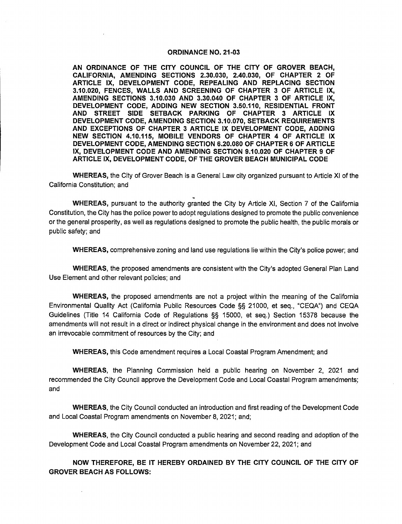#### **ORDINANCE NO. 21-03**

**AN ORDINANCE OF THE CITY COUNCIL OF THE CITY OF GROVER BEACH, CALIFORNIA, AMENDING SECTIONS 2.30.030, 2.40.030, OF CHAPTER 2 OF ARTICLE IX, DEVELOPMENT CODE, REPEALING AND REPLACING SECTION 3.10.020, FENCES, WALLS AND SCREENING OF CHAPTER 3 OF ARTICLE IX, AMENDING SECTIONS 3.10.030 AND 3.30.040 OF CHAPTER 3 OF ARTICLE IX, DEVELOPMENT CODE, ADDING NEW SECTION 3.50.110, RESIDENTIAL FRONT AND STREET SIDE SETBACK PARKING OF CHAPTER 3 ARTICLE IX DEVELOPMENT CODE, AMENDING SECTION 3.10.070, SETBACK REQUIREMENTS AND EXCEPTIONS OF CHAPTER 3 ARTICLE IX DEVELOPMENT CODE, ADDING NEW SECTION 4.10.115, MOBILE VENDORS OF CHAPTER 4 OF ARTICLE IX DEVELOPMENT CODE, AMENDING SECTION 6.20.080 OF CHAPTER 6 OF ARTICLE IX, DEVELOPMENT CODE AND AMENDING SECTION 9.10.020 OF CHAPTER 9 OF ARTICLE IX, DEVELOPMENT CODE, OF THE GROVER BEACH MUNICIPAL CODE** 

**WHEREAS,** the City of Grover Beach is a General Law city organized pursuant to Article XI of the California Constitution; and

..

**WHEREAS,** pursuant to the authority granted the City by Article XI, Section 7 of the California Constitution, the City has the police power to adopt regulations designed to promote the public convenience or the general prosperity, as well as regulations designed to promote the public health, the public morals or public safety; and

**WHEREAS,** comprehensive zoning and land use regulations lie within the City's police power; and

**WHEREAS,** the proposed amendments are consistent with the City's adopted General Plan Land Use Element and other relevant policies; and

**WHEREAS,** the proposed amendments are not a project within the meaning of the California Environmental Quality Act (California Public Resources Code §§ 21000, et seq., "CEQA") and CEQA Guidelines (Title 14 California Code of Regulations §§ 15000, et seq.) Section 15378 because the amendments will not result in a direct or indirect physical change in the environment and does not involve an irrevocable commitment of resources by the City; and

**WHEREAS,** this Code amendment requires a Local Coastal Program Amendment; and

**WHEREAS,** the Planning Commission held a public hearing on November 2, 2021 and recommended the City Council approve the Development Code and Local Coastal Program amendments; and

**WHEREAS,** the City Council conducted an introduction and first reading of the Development Code and Local Coastal Program amendments on November 8, 2021; and;

**WHEREAS,** the City Council conducted a public hearing and second reading and adoption of the Development Code and Local Coastal Program amendments on November 22, 2021; and

**NOW THEREFORE, BE IT HEREBY ORDAINED BY THE CITY COUNCIL OF THE CITY OF GROVER BEACH AS FOLLOWS:**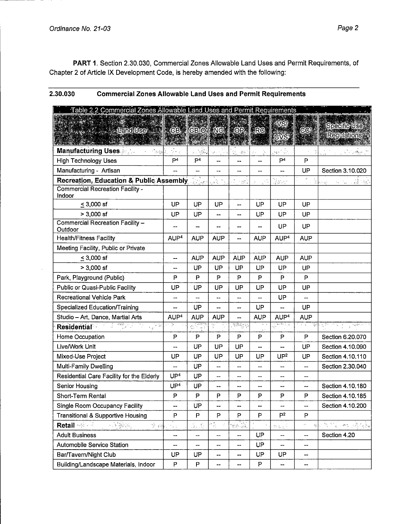**PART 1.** Section 2.30.030, Commercial Zones Allowable Land Uses and Permit Requirements, of Chapter 2 of Article IX Development Code, is hereby amended with the following:

| 2.30.030<br><b>Commercial Zones Allowable Land Uses and Permit Requirements</b> |
|---------------------------------------------------------------------------------|
|---------------------------------------------------------------------------------|

| Table 2.2 Commercial Zones Allowable Land Uses and Permit Requirements                                                                                                                                                                                                                                                                                                                                                                                                  |                                             |                                                          |                                                       |                                                                                       |                          |                                                                                                                      |                               |                                                                                                                                                                                                                                               |
|-------------------------------------------------------------------------------------------------------------------------------------------------------------------------------------------------------------------------------------------------------------------------------------------------------------------------------------------------------------------------------------------------------------------------------------------------------------------------|---------------------------------------------|----------------------------------------------------------|-------------------------------------------------------|---------------------------------------------------------------------------------------|--------------------------|----------------------------------------------------------------------------------------------------------------------|-------------------------------|-----------------------------------------------------------------------------------------------------------------------------------------------------------------------------------------------------------------------------------------------|
| <b>MANA</b><br>Land Use CB CB CB NC OP                                                                                                                                                                                                                                                                                                                                                                                                                                  |                                             |                                                          |                                                       |                                                                                       | RC                       | CVS <sup>1</sup>                                                                                                     | CC <sup>1</sup>               | Specific Use<br><b>Regulations</b>                                                                                                                                                                                                            |
| <b>Manufacturing Uses</b><br>$\sim$ $\omega$ $\omega$                                                                                                                                                                                                                                                                                                                                                                                                                   | ईर द                                        | $\lambda$ , $\lambda$ , $\lambda$                        | الحادقية                                              | $\sim 5\%$ .<br>W.                                                                    |                          | $\log \epsilon^{-\alpha} \cdot \frac{1}{2^{2\alpha}}.$                                                               |                               | $\mathbb{Z}^{\mathcal{P}} \leftarrow \mathbb{Z}^{\mathcal{B}}$ , where                                                                                                                                                                        |
| <b>High Technology Uses</b>                                                                                                                                                                                                                                                                                                                                                                                                                                             | P <sup>4</sup>                              | P <sup>4</sup>                                           |                                                       |                                                                                       |                          | P <sup>4</sup>                                                                                                       | P                             |                                                                                                                                                                                                                                               |
| Manufacturing - Artisan                                                                                                                                                                                                                                                                                                                                                                                                                                                 |                                             | …                                                        |                                                       | --                                                                                    |                          | --                                                                                                                   | UP                            | Section 3.10.020                                                                                                                                                                                                                              |
| <b>Recreation, Education &amp; Public Assembly</b>                                                                                                                                                                                                                                                                                                                                                                                                                      |                                             |                                                          | gat in                                                | - 1 150 F                                                                             | je S                     | ٠,<br>an Maritim<br>Geografia                                                                                        | $\frac{1}{2}$ , $\frac{1}{2}$ | $\label{eq:1} \mathcal{N}_{\mathcal{A}} = \mathcal{N}_{\mathcal{A}} \mathcal{N}_{\mathcal{A}} + \mathcal{N}_{\mathcal{B}} \mathcal{N}_{\mathcal{B}} + \mathcal{N}_{\mathcal{B}} \mathcal{N}_{\mathcal{B}}.$<br>$\hat{c}_{\rm QQCD}^{\rm (a)}$ |
| <b>Commercial Recreation Facility -</b><br>Indoor                                                                                                                                                                                                                                                                                                                                                                                                                       |                                             |                                                          |                                                       |                                                                                       |                          |                                                                                                                      |                               |                                                                                                                                                                                                                                               |
| $\leq$ 3,000 sf                                                                                                                                                                                                                                                                                                                                                                                                                                                         | UP                                          | UP                                                       | UP                                                    | --                                                                                    | UP                       | UP                                                                                                                   | UP                            |                                                                                                                                                                                                                                               |
| $> 3,000$ sf                                                                                                                                                                                                                                                                                                                                                                                                                                                            | UP                                          | UP                                                       | --                                                    | --                                                                                    | UP                       | UP                                                                                                                   | UP                            |                                                                                                                                                                                                                                               |
| Commercial Recreation Facility -<br>Outdoor                                                                                                                                                                                                                                                                                                                                                                                                                             |                                             |                                                          | --                                                    | --                                                                                    |                          | UP                                                                                                                   | UP                            |                                                                                                                                                                                                                                               |
| <b>Health/Fitness Facility</b>                                                                                                                                                                                                                                                                                                                                                                                                                                          | AUP <sup>4</sup>                            | <b>AUP</b>                                               | <b>AUP</b>                                            | --                                                                                    | <b>AUP</b>               | AUP <sup>4</sup>                                                                                                     | <b>AUP</b>                    |                                                                                                                                                                                                                                               |
| Meeting Facility, Public or Private                                                                                                                                                                                                                                                                                                                                                                                                                                     |                                             |                                                          |                                                       |                                                                                       |                          |                                                                                                                      |                               |                                                                                                                                                                                                                                               |
| $\leq$ 3,000 sf                                                                                                                                                                                                                                                                                                                                                                                                                                                         | $\overline{\phantom{a}}$                    | <b>AUP</b>                                               | <b>AUP</b>                                            | <b>AUP</b>                                                                            | <b>AUP</b>               | <b>AUP</b>                                                                                                           | <b>AUP</b>                    |                                                                                                                                                                                                                                               |
| $> 3,000$ sf                                                                                                                                                                                                                                                                                                                                                                                                                                                            |                                             | UP                                                       | UP                                                    | UP                                                                                    | UP                       | UP                                                                                                                   | UP                            |                                                                                                                                                                                                                                               |
| Park, Playground (Public)                                                                                                                                                                                                                                                                                                                                                                                                                                               | P                                           | P                                                        | P                                                     | P                                                                                     | P                        | P                                                                                                                    | P                             |                                                                                                                                                                                                                                               |
| Public or Quasi-Public Facility                                                                                                                                                                                                                                                                                                                                                                                                                                         | UP                                          | UP                                                       | UP                                                    | UP                                                                                    | UP                       | UP                                                                                                                   | UP                            |                                                                                                                                                                                                                                               |
| <b>Recreational Vehicle Park</b>                                                                                                                                                                                                                                                                                                                                                                                                                                        | $\overline{a}$                              | --                                                       | --                                                    | --                                                                                    | --                       | UP                                                                                                                   | --                            |                                                                                                                                                                                                                                               |
| Specialized Education/Training                                                                                                                                                                                                                                                                                                                                                                                                                                          | --                                          | UP                                                       | -−                                                    | $\overline{\phantom{0}}$                                                              | UP                       |                                                                                                                      | UP                            |                                                                                                                                                                                                                                               |
| Studio - Art, Dance, Martial Arts                                                                                                                                                                                                                                                                                                                                                                                                                                       | AUP <sup>4</sup>                            | <b>AUP</b>                                               | <b>AUP</b>                                            |                                                                                       | <b>AUP</b>               | AUP <sup>4</sup>                                                                                                     | <b>AUP</b>                    |                                                                                                                                                                                                                                               |
| $\frac{1}{\sqrt{2}}\left( \frac{1}{\sqrt{2}}\right) \frac{1}{\sqrt{2}}\left( \frac{1}{\sqrt{2}}\right) \frac{1}{\sqrt{2}}\left( \frac{1}{\sqrt{2}}\right) \frac{1}{\sqrt{2}}\left( \frac{1}{\sqrt{2}}\right) \frac{1}{\sqrt{2}}\left( \frac{1}{\sqrt{2}}\right) \frac{1}{\sqrt{2}}\left( \frac{1}{\sqrt{2}}\right) \frac{1}{\sqrt{2}}\left( \frac{1}{\sqrt{2}}\right) \frac{1}{\sqrt{2}}\left( \frac{1}{\sqrt{2}}\right) \frac{1}{\sqrt{2}}\left$<br><b>Residential</b> | $\frac{1}{2}n$<br>$\eta \rightarrow \gamma$ | ्राम्बल<br>जन्म                                          | $\frac{N}{n} \mathcal{Q}_{\mu\nu}$                    | <b>Right</b>                                                                          |                          | $\frac{\sqrt{-\log n}\log\left(\frac{1}{\epsilon}\right)}{\log\left(\frac{1}{\epsilon}\right)}\leq \frac{1}{\log n}$ | 복제<br>$\kappa = u$            | えたいさん                                                                                                                                                                                                                                         |
| Home Occupation                                                                                                                                                                                                                                                                                                                                                                                                                                                         | P                                           | P                                                        | P                                                     | P                                                                                     | P                        | P                                                                                                                    | P                             | Section 6.20.070                                                                                                                                                                                                                              |
| Live/Work Unit                                                                                                                                                                                                                                                                                                                                                                                                                                                          |                                             | UP                                                       | UP                                                    | UP                                                                                    | --                       |                                                                                                                      | UP                            | Section 4.10.090                                                                                                                                                                                                                              |
| Mixed-Use Project                                                                                                                                                                                                                                                                                                                                                                                                                                                       | UP                                          | UP                                                       | UP                                                    | UP                                                                                    | UP                       | UP <sup>2</sup>                                                                                                      | <b>UP</b>                     | Section 4.10.110                                                                                                                                                                                                                              |
| Multi-Family Dwelling                                                                                                                                                                                                                                                                                                                                                                                                                                                   |                                             | UP                                                       | --                                                    | --                                                                                    | $\overline{\phantom{a}}$ | --                                                                                                                   | --                            | Section 2.30.040                                                                                                                                                                                                                              |
| Residential Care Facility for the Elderly                                                                                                                                                                                                                                                                                                                                                                                                                               | UP <sup>4</sup>                             | UP                                                       | $-$                                                   | --                                                                                    | $-$                      | $\overline{\phantom{a}}$                                                                                             | --                            |                                                                                                                                                                                                                                               |
| Senior Housing                                                                                                                                                                                                                                                                                                                                                                                                                                                          | UP <sup>4</sup>                             | UP                                                       | --                                                    | --                                                                                    |                          | --                                                                                                                   | --                            | Section 4.10.180                                                                                                                                                                                                                              |
| Short-Term Rental                                                                                                                                                                                                                                                                                                                                                                                                                                                       | P                                           | P                                                        | P                                                     | P                                                                                     | P                        | P                                                                                                                    | P                             | Section 4.10.185                                                                                                                                                                                                                              |
| Single Room Occupancy Facility                                                                                                                                                                                                                                                                                                                                                                                                                                          | --                                          | UP                                                       | --                                                    | --                                                                                    | $\blacksquare$           | --                                                                                                                   | --                            | Section 4.10.200                                                                                                                                                                                                                              |
| <b>Transitional &amp; Supportive Housing</b>                                                                                                                                                                                                                                                                                                                                                                                                                            | P                                           | P                                                        | P                                                     | P                                                                                     | P                        | P <sup>2</sup>                                                                                                       | P                             |                                                                                                                                                                                                                                               |
| Retail <b>Material</b><br>$\mathbb{R}^2$ ref<br>医紫色                                                                                                                                                                                                                                                                                                                                                                                                                     | tali.                                       | $\widetilde{\mathcal{X}}_1, \widetilde{\mathcal{X}}_2^1$ | $\stackrel{\bullet}{\circ} \stackrel{\bullet}{\circ}$ | $\frac{1}{\sigma_0}\frac{1}{\sigma_0}\sum_{i=1}^{\infty}\frac{1}{\sigma_i^2\sigma_0}$ |                          | $\tilde{\gamma}_{\frac{1}{1+\alpha}} \in \mathbb{R}^{n \times n}$                                                    | ÷,                            | 编码部门 经一种 化高级混合                                                                                                                                                                                                                                |
| <b>Adult Business</b>                                                                                                                                                                                                                                                                                                                                                                                                                                                   | --                                          | --                                                       | --                                                    | --                                                                                    | UP                       | $\qquad \qquad \blacksquare$                                                                                         | $-\!$                         | Section 4.20                                                                                                                                                                                                                                  |
| <b>Automobile Service Station</b>                                                                                                                                                                                                                                                                                                                                                                                                                                       | --                                          | --                                                       | --                                                    | --                                                                                    | UP.                      | --                                                                                                                   | --                            |                                                                                                                                                                                                                                               |
| Bar/Tavern/Night Club                                                                                                                                                                                                                                                                                                                                                                                                                                                   | UP                                          | UP                                                       | --                                                    | …                                                                                     | UP                       | UP                                                                                                                   | --                            |                                                                                                                                                                                                                                               |
| Building/Landscape Materials, Indoor                                                                                                                                                                                                                                                                                                                                                                                                                                    | P                                           | P                                                        | ⊷                                                     | --                                                                                    | P                        | --                                                                                                                   | --                            |                                                                                                                                                                                                                                               |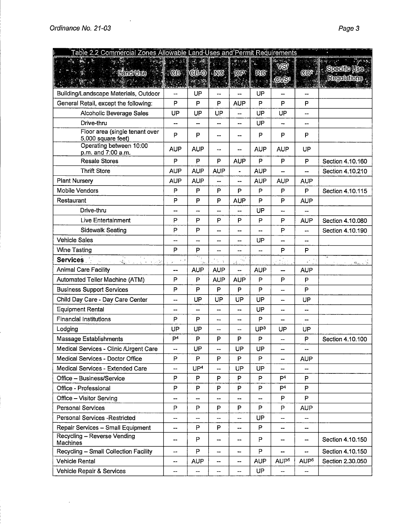l,

 $\ddot{\phantom{a}}$ 

| Table 2.2 Commercial Zones Allowable Land Uses and Permit Requirements |                                                                          |                 |            |                          |                 |                          |                                               |                                                                                   |
|------------------------------------------------------------------------|--------------------------------------------------------------------------|-----------------|------------|--------------------------|-----------------|--------------------------|-----------------------------------------------|-----------------------------------------------------------------------------------|
| <b>ATACTA</b>                                                          |                                                                          |                 |            |                          |                 | WS/                      |                                               |                                                                                   |
| <b>Land Use</b>                                                        | $\lvert \cdot \rvert$ gbo $\lvert \cdot \rvert$ ng $\lvert \cdot \rvert$ |                 |            | $\cdot$ OP:              | RC <sup>2</sup> |                          | CC <sup>1</sup>                               | <b>Specific Use</b>                                                               |
|                                                                        |                                                                          |                 |            |                          |                 |                          |                                               | <b>Regulations</b>                                                                |
| Building/Landscape Materials, Outdoor                                  | $\overline{\phantom{a}}$                                                 | UP              |            |                          | UP              |                          |                                               |                                                                                   |
| General Retail, except the following:                                  | P                                                                        | P               | P          | <b>AUP</b>               | P               | P                        | P                                             |                                                                                   |
| Alcoholic Beverage Sales                                               | UP                                                                       | UP              | UP         | --                       | UP              | UP                       | --                                            |                                                                                   |
| Drive-thru                                                             | --                                                                       |                 | --         | --                       | UP              | --                       | --                                            |                                                                                   |
| Floor area (single tenant over<br>5,000 square feet)                   | P                                                                        | P               | --         | --                       | P               | P                        | P                                             |                                                                                   |
| Operating between 10:00<br>p.m. and 7:00 a.m.                          | <b>AUP</b>                                                               | <b>AUP</b>      | --         | --                       | <b>AUP</b>      | <b>AUP</b>               | UP                                            |                                                                                   |
| <b>Resale Stores</b>                                                   | P                                                                        | P               | P          | <b>AUP</b>               | P               | P                        | P                                             | Section 4.10.160                                                                  |
| <b>Thrift Store</b>                                                    | <b>AUP</b>                                                               | <b>AUP</b>      | <b>AUP</b> | $\blacksquare$           | <b>AUP</b>      |                          | --                                            | Section 4.10.210                                                                  |
| <b>Plant Nursery</b>                                                   | <b>AUP</b>                                                               | <b>AUP</b>      | --         | --                       | <b>AUP</b>      | <b>AUP</b>               | <b>AUP</b>                                    |                                                                                   |
| <b>Mobile Vendors</b>                                                  | P                                                                        | P               | P          | P                        | P               | P                        | P                                             | Section 4.10.115                                                                  |
| Restaurant                                                             | P                                                                        | P               | P          | <b>AUP</b>               | P               | P                        | <b>AUP</b>                                    |                                                                                   |
| Drive-thru                                                             | --                                                                       | --              | --         | --                       | UP              | --                       |                                               |                                                                                   |
| Live Entertainment                                                     | P                                                                        | P               | P          | P                        | P               | P                        | <b>AUP</b>                                    | Section 4.10.080                                                                  |
| <b>Sidewalk Seating</b>                                                | P                                                                        | P               | --         | --                       | --              | P                        | --                                            | Section 4.10.190                                                                  |
| <b>Vehicle Sales</b>                                                   | --                                                                       | --              | --         | --                       | UP              |                          | --                                            |                                                                                   |
| <b>Wine Tasting</b>                                                    | P                                                                        | P               | --         | --                       | --              | P                        | P                                             |                                                                                   |
| <b>Services</b><br>繰り返し へいぶ                                            | $\mathbb{F}_q$ )<br>工会                                                   | ٠.,<br>一つ気に     |            | V.<br>d.                 |                 | 家庭。                      | $\frac{1}{2}$ , $\frac{1}{2}$ , $\frac{1}{2}$ | $\mathbf{X}_{\text{intra}-t_i}^{i}$ , $\mathbf{X}_{\text{in}}$<br>August 1980 Co. |
| <b>Animal Care Facility</b>                                            | --                                                                       | <b>AUP</b>      | <b>AUP</b> | --                       | <b>AUP</b>      | --                       | <b>AUP</b>                                    |                                                                                   |
| Automated Teller Machine (ATM)                                         | P                                                                        | P               | <b>AUP</b> | <b>AUP</b>               | $\mathsf{P}$    | P                        | P                                             |                                                                                   |
| <b>Business Support Services</b>                                       | P                                                                        | P               | P          | P                        | P               | --                       | P                                             |                                                                                   |
| Child Day Care - Day Care Center                                       | --                                                                       | UP              | UP         | UP                       | UP              |                          | UP                                            |                                                                                   |
| <b>Equipment Rental</b>                                                | --                                                                       | --              | --         | --                       | UP              | --                       | --                                            |                                                                                   |
| <b>Financial Institutions</b>                                          | Р                                                                        | P               | --         | --                       | P               | --                       | --                                            |                                                                                   |
| Lodging                                                                | UP                                                                       | UP              | --         | --                       | UP <sup>3</sup> | UP                       | UP                                            |                                                                                   |
| Massage Establishments                                                 | P <sup>4</sup>                                                           | P               | P          | P                        | P               | $\overline{\phantom{a}}$ | P                                             | Section 4.10.100                                                                  |
| Medical Services - Clinic /Urgent Care                                 | --                                                                       | UP              | --         | UP                       | UP              | --                       | --                                            |                                                                                   |
| Medical Services - Doctor Office                                       | P                                                                        | P               | P          | P                        | P               | $\overline{\phantom{a}}$ | AUP                                           |                                                                                   |
| Medical Services - Extended Care                                       | --                                                                       | UP <sup>4</sup> | --         | UP                       | UP              |                          | --                                            |                                                                                   |
| Office - Business/Service                                              | P                                                                        | P               | P          | P                        | P               | $\mathsf{P}^4$           | P                                             |                                                                                   |
| Office - Professional                                                  | P                                                                        | P               | P          | P                        | P               | P <sup>4</sup>           | P                                             |                                                                                   |
| Office - Visitor Serving                                               | --                                                                       |                 | --         | --                       | --              | P                        | P                                             |                                                                                   |
| <b>Personal Services</b>                                               | P                                                                        | P               | P          | P                        | P               | P                        | <b>AUP</b>                                    |                                                                                   |
| Personal Services -Restricted                                          | --                                                                       | --              | --         | --                       | UP.             | $\overline{\phantom{a}}$ | $\overline{\phantom{a}}$                      |                                                                                   |
| Repair Services - Small Equipment                                      | --                                                                       | P               | P          | --                       | P               | --                       | --                                            |                                                                                   |
| <b>Recycling - Reverse Vending</b><br>Machines                         | --                                                                       | P               | --         | $\overline{a}$           | P               | $\overline{\phantom{a}}$ | --                                            | Section 4.10.150                                                                  |
| Recycling - Small Collection Facility                                  | --                                                                       | P               | --         | me.                      | P               | --                       | ш.                                            | Section 4.10.150                                                                  |
| <b>Vehicle Rental</b>                                                  | --                                                                       | <b>AUP</b>      | -−         | $\overline{\phantom{a}}$ | <b>AUP</b>      | AUP <sup>5</sup>         | AUP <sup>5</sup>                              | Section 2.30.050                                                                  |
| Vehicle Repair & Services                                              | --                                                                       | --              | --         | $\overline{\phantom{a}}$ | UP.             | $\overline{\phantom{a}}$ | <b>--</b>                                     |                                                                                   |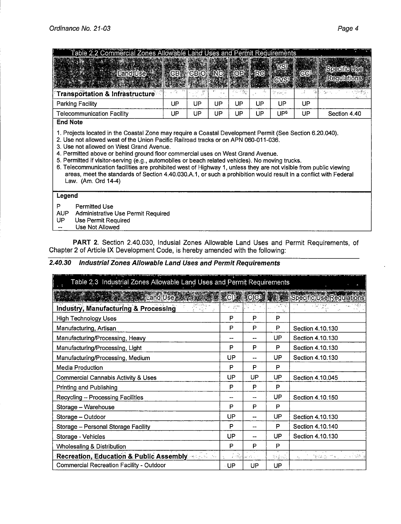| Table 2.2 Commercial Zones Allowable Land Uses and Permit Requirements                                                                                                                                                                                                                                                                                                                                                                                                                                                                                                                                                                                                                                                |            |    |    |     |                           |                 |     |                                           |
|-----------------------------------------------------------------------------------------------------------------------------------------------------------------------------------------------------------------------------------------------------------------------------------------------------------------------------------------------------------------------------------------------------------------------------------------------------------------------------------------------------------------------------------------------------------------------------------------------------------------------------------------------------------------------------------------------------------------------|------------|----|----|-----|---------------------------|-----------------|-----|-------------------------------------------|
| <b>Land User</b>                                                                                                                                                                                                                                                                                                                                                                                                                                                                                                                                                                                                                                                                                                      | <b>KCB</b> |    |    |     | <b>CB-OL NC COP RC RC</b> | EWS/B<br>CVS!   |     | <b>Specific Use</b><br><b>Requiations</b> |
| <b>Transportation &amp; Infrastructure</b>                                                                                                                                                                                                                                                                                                                                                                                                                                                                                                                                                                                                                                                                            |            |    |    |     |                           |                 |     |                                           |
| <b>Parking Facility</b>                                                                                                                                                                                                                                                                                                                                                                                                                                                                                                                                                                                                                                                                                               | UP         | UP | UP | UP  | UP                        | UP              | UP  |                                           |
| <b>Telecommunication Facility</b>                                                                                                                                                                                                                                                                                                                                                                                                                                                                                                                                                                                                                                                                                     | UP         | UP | UP | UP. | <b>UP</b>                 | UP <sup>6</sup> | UP. | Section 4.40                              |
| <b>End Note</b><br>1. Projects located in the Coastal Zone may require a Coastal Development Permit (See Section 6.20.040).<br>2. Use not allowed west of the Union Pacific Railroad tracks or on APN 060-011-036.<br>3. Use not allowed on West Grand Avenue.<br>4. Permitted above or behind ground floor commercial uses on West Grand Avenue.<br>5. Permitted if visitor-serving (e.g., automobiles or beach related vehicles). No moving trucks.<br>6. Telecommunication facilities are prohibited west of Highway 1, unless they are not visible from public viewing<br>areas, meet the standards of Section 4.40.030.A.1, or such a prohibition would result in a conflict with Federal<br>Law. (Am. Ord 14-4) |            |    |    |     |                           |                 |     |                                           |
| Legend<br>P<br><b>Permitted Use</b>                                                                                                                                                                                                                                                                                                                                                                                                                                                                                                                                                                                                                                                                                   |            |    |    |     |                           |                 |     |                                           |
|                                                                                                                                                                                                                                                                                                                                                                                                                                                                                                                                                                                                                                                                                                                       |            |    |    |     |                           |                 |     |                                           |

- AUP Administrative Use Permit Required<br>UP Use Permit Required
- UP Use Permit Required
- $\ddot{\phantom{a}}$ Use Not Allowed

**PART 2.** Section 2.40.030, lndusial Zones Allowable Land Uses and Permit Requirements, of Chapter 2 of Article IX Development Code, is hereby amended with the following:

# **2.40.30 Industrial Zones Allowable Land Uses and Permit Requirements**

| ം സ പ്രത്യസം സംസ്ഥാന പരിക്കുന്ന കോട്ടിക്കുന്നു. പരിക്കുന്നു പരിക്കുന്നത് പരിക്കുന്നത്. പരിക്കുന്ന പരിക്കുന്ന പരിക്കുന്ന പരിക്കുന്ന പരിക്കുന്ന പരിക്കുന്ന പരിക്കുന്ന പരിക്കുന്ന പരിക്കുന്ന പരിക്കുന്ന പരിക്കുന്ന പരിക്കുന്ന പര<br>Table 2.3 Industrial Zones Allowable Land Uses and Permit Requirements |                                       |                |                                                                                                                                                    |                                                                                                                                                                                                                                                                                               |  |
|---------------------------------------------------------------------------------------------------------------------------------------------------------------------------------------------------------------------------------------------------------------------------------------------------------|---------------------------------------|----------------|----------------------------------------------------------------------------------------------------------------------------------------------------|-----------------------------------------------------------------------------------------------------------------------------------------------------------------------------------------------------------------------------------------------------------------------------------------------|--|
| <b>Active Contract of Contract Contract Contract Contract Contract Contract Contract Contract Contract Contract Contract Contract Contract Contract Contract Contract Contract Contract Contract Contract Contract Contract Cont</b>                                                                    |                                       |                |                                                                                                                                                    | Specific Use Regulations                                                                                                                                                                                                                                                                      |  |
| Industry, Manufacturing & Processing                                                                                                                                                                                                                                                                    | $\mathcal{P}^{\text{exp}}_{\text{S}}$ |                |                                                                                                                                                    |                                                                                                                                                                                                                                                                                               |  |
| <b>High Technology Uses</b>                                                                                                                                                                                                                                                                             | P                                     | P              | P                                                                                                                                                  |                                                                                                                                                                                                                                                                                               |  |
| Manufacturing, Artisan                                                                                                                                                                                                                                                                                  | Р                                     | P              | P                                                                                                                                                  | Section 4.10.130                                                                                                                                                                                                                                                                              |  |
| Manufacturing/Processing, Heavy                                                                                                                                                                                                                                                                         |                                       |                | UP                                                                                                                                                 | Section 4.10.130                                                                                                                                                                                                                                                                              |  |
| Manufacturing/Processing, Light                                                                                                                                                                                                                                                                         | P                                     | P              | P                                                                                                                                                  | Section 4.10.130                                                                                                                                                                                                                                                                              |  |
| Manufacturing/Processing, Medium                                                                                                                                                                                                                                                                        | UP                                    |                | UP                                                                                                                                                 | Section 4.10.130                                                                                                                                                                                                                                                                              |  |
| Media Production                                                                                                                                                                                                                                                                                        | P                                     | P              | P                                                                                                                                                  |                                                                                                                                                                                                                                                                                               |  |
| <b>Commercial Cannabis Activity &amp; Uses</b>                                                                                                                                                                                                                                                          | UP                                    | UP             | UP                                                                                                                                                 | Section 4.10.045                                                                                                                                                                                                                                                                              |  |
| Printing and Publishing                                                                                                                                                                                                                                                                                 | P                                     | P              | P                                                                                                                                                  |                                                                                                                                                                                                                                                                                               |  |
| Recycling - Processing Facilities                                                                                                                                                                                                                                                                       |                                       |                | UP                                                                                                                                                 | Section 4.10.150                                                                                                                                                                                                                                                                              |  |
| Storage - Warehouse                                                                                                                                                                                                                                                                                     | P                                     | Р              | P                                                                                                                                                  |                                                                                                                                                                                                                                                                                               |  |
| Storage - Outdoor                                                                                                                                                                                                                                                                                       | UP                                    |                | <b>UP</b>                                                                                                                                          | Section 4.10.130                                                                                                                                                                                                                                                                              |  |
| Storage - Personal Storage Facility                                                                                                                                                                                                                                                                     | P                                     |                | P                                                                                                                                                  | Section 4.10.140                                                                                                                                                                                                                                                                              |  |
| Storage - Vehicles                                                                                                                                                                                                                                                                                      | UP                                    |                | UP                                                                                                                                                 | Section 4.10.130                                                                                                                                                                                                                                                                              |  |
| Wholesaling & Distribution                                                                                                                                                                                                                                                                              | P                                     | P              | P                                                                                                                                                  |                                                                                                                                                                                                                                                                                               |  |
| <b>Recreation, Education &amp; Public Assembly and Alleman</b>                                                                                                                                                                                                                                          |                                       | الرياضي وأوقفت | $\frac{\partial \varphi}{\partial \varphi} \leftarrow \frac{\partial \varphi}{\partial \varphi} \left( \varphi_{\alpha} \right)_{\alpha}^{\alpha}$ | $\left\langle \nabla \xi_{\mathbf{a},\mathbf{b}} \right\rangle_{\mathbf{a}} = \left\langle \nabla \mathbf{a} \right\rangle_{\mathbf{a}} = \left\langle \nabla \mathbf{a} \right\rangle_{\mathbf{a}} = \left\langle \nabla \xi_{\mathbf{a}} \right\rangle_{\mathbf{a}}$<br>$\sigma_{\rm{g}}$ . |  |
| Commercial Recreation Facility - Outdoor                                                                                                                                                                                                                                                                | - UP                                  | UP             | UP                                                                                                                                                 |                                                                                                                                                                                                                                                                                               |  |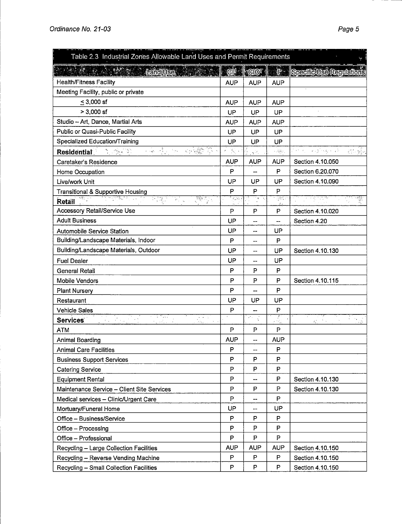| Table 2.3 Industrial Zones Allowable Land Uses and Permit Requirements                    |                                                         |                      |                                                                                                                                                                                                                                                                                                                                                                                                                                                                                           |                                                                                                                                                                                                                                                                                                |  |
|-------------------------------------------------------------------------------------------|---------------------------------------------------------|----------------------|-------------------------------------------------------------------------------------------------------------------------------------------------------------------------------------------------------------------------------------------------------------------------------------------------------------------------------------------------------------------------------------------------------------------------------------------------------------------------------------------|------------------------------------------------------------------------------------------------------------------------------------------------------------------------------------------------------------------------------------------------------------------------------------------------|--|
| <b>Constitution of the Constitution Constitution</b>                                      |                                                         |                      |                                                                                                                                                                                                                                                                                                                                                                                                                                                                                           | eit eier specific Use Regulations                                                                                                                                                                                                                                                              |  |
| <b>Health/Fitness Facility</b>                                                            | <b>AUP</b>                                              | <b>AUP</b>           | <b>AUP</b>                                                                                                                                                                                                                                                                                                                                                                                                                                                                                |                                                                                                                                                                                                                                                                                                |  |
| Meeting Facility, public or private                                                       |                                                         |                      |                                                                                                                                                                                                                                                                                                                                                                                                                                                                                           |                                                                                                                                                                                                                                                                                                |  |
| $\leq$ 3,000 sf                                                                           | <b>AUP</b>                                              | <b>AUP</b>           | <b>AUP</b>                                                                                                                                                                                                                                                                                                                                                                                                                                                                                |                                                                                                                                                                                                                                                                                                |  |
| $> 3,000$ sf                                                                              | UP                                                      | UP                   | UP                                                                                                                                                                                                                                                                                                                                                                                                                                                                                        |                                                                                                                                                                                                                                                                                                |  |
| Studio - Art, Dance, Martial Arts                                                         | <b>AUP</b>                                              | <b>AUP</b>           | <b>AUP</b>                                                                                                                                                                                                                                                                                                                                                                                                                                                                                |                                                                                                                                                                                                                                                                                                |  |
| Public or Quasi-Public Facility                                                           | UP                                                      | UP                   | UP                                                                                                                                                                                                                                                                                                                                                                                                                                                                                        |                                                                                                                                                                                                                                                                                                |  |
| Specialized Education/Training                                                            | UP                                                      | UP                   | UP                                                                                                                                                                                                                                                                                                                                                                                                                                                                                        |                                                                                                                                                                                                                                                                                                |  |
| all se<br>$\mathcal{N}_{\rm{max}}$ , where $\mathcal{N}_{\rm{max}}$<br><b>Residential</b> | $\sigma$<br>$\mathcal{O}_{\mathcal{O}_{\mathcal{A}}}$ . | $\gamma^{1,\beta}$ . | $\label{eq:Ricci} \mathcal{L}_{\mathcal{L}_1} \big( \underset{\mathcal{L}_2 \in \mathcal{L}_2}{\underset{\mathcal{L}_2 \in \mathcal{L}_1}{\underset{\mathcal{L}_2 \in \mathcal{L}_2}{\underset{\mathcal{L}_1 \in \mathcal{L}_2}{\underset{\mathcal{L}_2 \in \mathcal{L}_1}{\underset{\mathcal{L}_2 \in \mathcal{L}_2}{\underset{\mathcal{L}_2 \in \mathcal{L}_2}{\underset{\mathcal{L}_2 \in \mathcal{L}_1}{\underset{\mathcal{L}_2 \in \mathcal{L}_2}{\underset{\mathcal{L}_2 \in \math$ | $\mathcal{O}(\mathcal{O}_{\mathcal{O}})$<br>$\mathbf{c} \sim \mathcal{Y} \rightarrow \mathcal{S} \times \mathcal{Y} \rightarrow \mathcal{S}$<br>$\label{eq:11} \frac{\partial}{\partial x}\frac{\partial}{\partial x} = -\frac{3\pi}{2}\frac{\partial}{\partial x}\frac{\partial}{\partial x}$ |  |
| Caretaker's Residence                                                                     | <b>AUP</b>                                              | <b>AUP</b>           | <b>AUP</b>                                                                                                                                                                                                                                                                                                                                                                                                                                                                                | Section 4.10.050                                                                                                                                                                                                                                                                               |  |
| Home Occupation                                                                           | P                                                       | --                   | P                                                                                                                                                                                                                                                                                                                                                                                                                                                                                         | Section 6.20.070                                                                                                                                                                                                                                                                               |  |
| Live/work Unit                                                                            | UP                                                      | UP                   | UP                                                                                                                                                                                                                                                                                                                                                                                                                                                                                        | Section 4.10.090                                                                                                                                                                                                                                                                               |  |
| Transitional & Supportive Housing                                                         | P                                                       | Р                    | P                                                                                                                                                                                                                                                                                                                                                                                                                                                                                         |                                                                                                                                                                                                                                                                                                |  |
| <b>SUMMER</b><br>는 1월 3<br>Retail                                                         | $\mathcal{A}^{\text{out}}_{\text{in}}$                  | $\gamma$ (if         | an a<br>x,                                                                                                                                                                                                                                                                                                                                                                                                                                                                                |                                                                                                                                                                                                                                                                                                |  |
| <b>Accessory Retail/Service Use</b>                                                       | P                                                       | P                    | P                                                                                                                                                                                                                                                                                                                                                                                                                                                                                         | Section 4.10.020                                                                                                                                                                                                                                                                               |  |
| <b>Adult Business</b>                                                                     | UP                                                      | --                   | --                                                                                                                                                                                                                                                                                                                                                                                                                                                                                        | Section 4.20                                                                                                                                                                                                                                                                                   |  |
| Automobile Service Station                                                                | UP                                                      |                      | UP                                                                                                                                                                                                                                                                                                                                                                                                                                                                                        |                                                                                                                                                                                                                                                                                                |  |
| Building/Landscape Materials, Indoor                                                      | P                                                       | --                   | P                                                                                                                                                                                                                                                                                                                                                                                                                                                                                         |                                                                                                                                                                                                                                                                                                |  |
| Building/Landscape Materials, Outdoor                                                     | UP                                                      |                      | UP                                                                                                                                                                                                                                                                                                                                                                                                                                                                                        | Section 4.10.130                                                                                                                                                                                                                                                                               |  |
| <b>Fuel Dealer</b>                                                                        | UP                                                      |                      | UP                                                                                                                                                                                                                                                                                                                                                                                                                                                                                        |                                                                                                                                                                                                                                                                                                |  |
| General Retail                                                                            | P                                                       | P                    | P                                                                                                                                                                                                                                                                                                                                                                                                                                                                                         |                                                                                                                                                                                                                                                                                                |  |
| Mobile Vendors                                                                            | P                                                       | P                    | P                                                                                                                                                                                                                                                                                                                                                                                                                                                                                         | Section 4.10.115                                                                                                                                                                                                                                                                               |  |
| <b>Plant Nursery</b>                                                                      | P                                                       |                      | P                                                                                                                                                                                                                                                                                                                                                                                                                                                                                         |                                                                                                                                                                                                                                                                                                |  |
| Restaurant                                                                                | UP                                                      | UP                   | UP                                                                                                                                                                                                                                                                                                                                                                                                                                                                                        |                                                                                                                                                                                                                                                                                                |  |
| <b>Vehicle Sales</b>                                                                      | P                                                       |                      | P                                                                                                                                                                                                                                                                                                                                                                                                                                                                                         |                                                                                                                                                                                                                                                                                                |  |
| <b>Services</b>                                                                           | $\epsilon$                                              | et c                 | 荞                                                                                                                                                                                                                                                                                                                                                                                                                                                                                         |                                                                                                                                                                                                                                                                                                |  |
| ATM                                                                                       | P                                                       | P                    | P                                                                                                                                                                                                                                                                                                                                                                                                                                                                                         |                                                                                                                                                                                                                                                                                                |  |
| Animal Boarding                                                                           | <b>AUP</b>                                              | --                   | <b>AUP</b>                                                                                                                                                                                                                                                                                                                                                                                                                                                                                |                                                                                                                                                                                                                                                                                                |  |
| <b>Animal Care Facilities</b>                                                             | P                                                       |                      | P                                                                                                                                                                                                                                                                                                                                                                                                                                                                                         |                                                                                                                                                                                                                                                                                                |  |
| <b>Business Support Services</b>                                                          | P                                                       | P                    | P                                                                                                                                                                                                                                                                                                                                                                                                                                                                                         |                                                                                                                                                                                                                                                                                                |  |
| <b>Catering Service</b>                                                                   | P                                                       | P                    | P                                                                                                                                                                                                                                                                                                                                                                                                                                                                                         |                                                                                                                                                                                                                                                                                                |  |
| <b>Equipment Rental</b>                                                                   | P                                                       | --                   | P                                                                                                                                                                                                                                                                                                                                                                                                                                                                                         | Section 4.10.130                                                                                                                                                                                                                                                                               |  |
| Maintenance Service - Client Site Services                                                | P                                                       | P                    | P                                                                                                                                                                                                                                                                                                                                                                                                                                                                                         | Section 4.10.130                                                                                                                                                                                                                                                                               |  |
| Medical services - Clinic/Urgent Care                                                     | P                                                       | --                   | P                                                                                                                                                                                                                                                                                                                                                                                                                                                                                         |                                                                                                                                                                                                                                                                                                |  |
| Mortuary/Funeral Home                                                                     | UP                                                      | ⊷                    | UP                                                                                                                                                                                                                                                                                                                                                                                                                                                                                        |                                                                                                                                                                                                                                                                                                |  |
| Office - Business/Service                                                                 | P                                                       | P                    | P                                                                                                                                                                                                                                                                                                                                                                                                                                                                                         |                                                                                                                                                                                                                                                                                                |  |
| Office - Processing                                                                       | P                                                       | P                    | P                                                                                                                                                                                                                                                                                                                                                                                                                                                                                         |                                                                                                                                                                                                                                                                                                |  |
| Office - Professional                                                                     | P                                                       | P                    | P                                                                                                                                                                                                                                                                                                                                                                                                                                                                                         |                                                                                                                                                                                                                                                                                                |  |
| Recycling - Large Collection Facilities                                                   | <b>AUP</b>                                              | <b>AUP</b>           | <b>AUP</b>                                                                                                                                                                                                                                                                                                                                                                                                                                                                                | Section 4.10.150                                                                                                                                                                                                                                                                               |  |
| Recycling - Reverse Vending Machine                                                       | P                                                       | P                    | P                                                                                                                                                                                                                                                                                                                                                                                                                                                                                         | Section 4.10.150                                                                                                                                                                                                                                                                               |  |
| Recycling - Small Collection Facilities                                                   | P                                                       | P                    | P                                                                                                                                                                                                                                                                                                                                                                                                                                                                                         | Section 4.10.150                                                                                                                                                                                                                                                                               |  |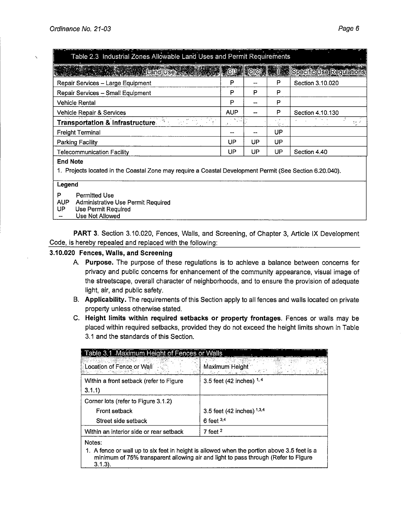| Table 2.3 Industrial Zones Allowable Land Uses and Permit Requirements |                |     |                                       |                  |  |
|------------------------------------------------------------------------|----------------|-----|---------------------------------------|------------------|--|
| <b>CITY Specific Use Regulations</b>                                   |                |     |                                       |                  |  |
| Repair Services - Large Equipment                                      | Р              |     | P                                     | Section 3.10.020 |  |
| Repair Services - Small Equipment                                      | P              | Р   | P                                     |                  |  |
| <b>Vehicle Rental</b>                                                  | P              | --- | P                                     |                  |  |
| Vehicle Repair & Services                                              | <b>AUP</b>     |     | P                                     | Section 4.10.130 |  |
| <b>Transportation &amp; Infrastructure</b>                             | 七九八の<br>. P. L |     | $\frac{d_{\rm{eff}}}{d_{\rm{He}}}$ in |                  |  |
| <b>Freight Terminal</b>                                                |                |     | UP                                    |                  |  |
| <b>Parking Facility</b>                                                | UP             | UP  | UP                                    |                  |  |
| <b>Telecommunication Facility</b>                                      | UP             | UP  | UP                                    | Section 4.40     |  |
| <b>End Note</b>                                                        |                |     |                                       |                  |  |

#### **End Note**

1. Projects located in the Coastal Zone may require a Coastal Development Permit (See Section 6.20.040).

#### **Legend**

P Permitted Use<br>AUP Administrative

AUP Administrative Use Permit Required<br>UP Use Permit Required

Use Permit Required

Use Not Allowed

**PART 3.** Section 3.10.020, Fences, Walls, and Screening, of Chapter 3, Article IX Development Code, is hereby repealed and replaced with the following:

## **3.10.020 Fences, Walls, and Screening**

- A **Purpose.** The purpose of these regulations is to achieve a balance between concerns for privacy and public concerns for enhancement of the community appearance, visual image of the streetscape, overall character of neighborhoods, and to ensure the provision of adequate light, air, and public safety.
- **B. Applicability.** The requirements of this Section apply to all fences and walls located on private property unless otherwise stated.
- C. **Height limits within required setbacks or property frontages.** Fences or walls may be placed within required setbacks, provided they do not exceed the height limits shown in Table 3.1 and the standards of this Section.

| Table 3.1 Maximum Height of Fences or Walls                                 |                                                                                                                                                                                   |
|-----------------------------------------------------------------------------|-----------------------------------------------------------------------------------------------------------------------------------------------------------------------------------|
| Location of Fence or Wall<br>intragelengte für der Lützlich und der Leichst | Maximum Height<br><u>as nel mate</u> van die k<br>三向心 鉄度<br>一定需要                                                                                                                  |
| Within a front setback (refer to Figure<br>3.1.1)                           | 3.5 feet (42 inches) $1, 4$                                                                                                                                                       |
| Corner lots (refer to Figure 3.1.2)                                         |                                                                                                                                                                                   |
| Front setback                                                               | 3.5 feet $(42$ inches) $1,3,4$                                                                                                                                                    |
| Street side setback                                                         | 6 feet $34$                                                                                                                                                                       |
| Within an interior side or rear setback                                     | 7 feet $2$                                                                                                                                                                        |
| Notes:<br>$3.1.3$ ).                                                        | 1. A fence or wall up to six feet in height is allowed when the portion above 3.5 feet is a<br>minimum of 75% transparent allowing air and light to pass through (Refer to Figure |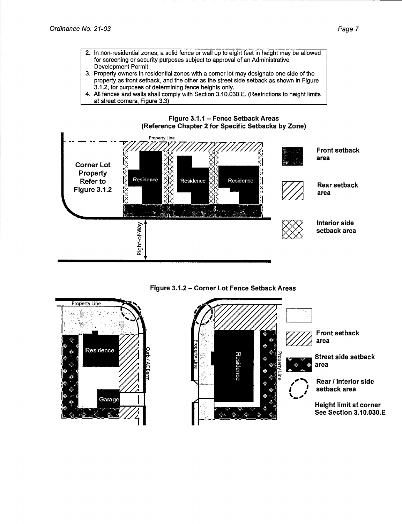- 2. In non-residential zones, a solid fence or wall up to eight feet in height may be allowed for screening or security purposes subject to approval of an Administrative Development Permit.
- 3. Property owners in residential zones with a corner lot may designate one side of the property as front setback, and the other as the street side setback as shown in Figure 3.1.2, for purposes of determining fence heights only.
- 4. All fences and walls shall comply with Section 3.10.030.E. (Restrictions to height limits at street corners, FiQure 3.3)









**Front setback** area

**Street side setback area** 

**Rear/ interior side setback area** 

**Height limit at corner See Section 3.10.030.E**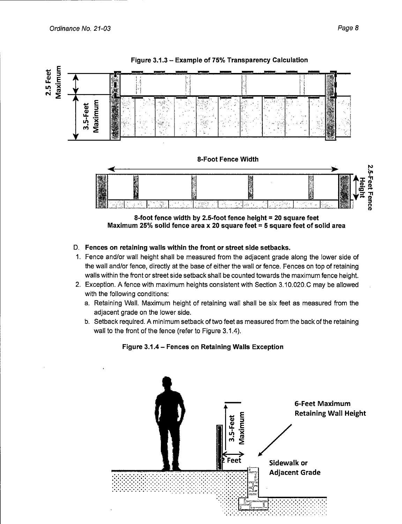



**8-foot fence width by 2.5-foot fence height** = **20 square feet Maximum 25% solid fence area x 20 square feet** = **5 square feet of solid area** 

# D. **Fences on retaining walls within the front or street side setbacks.**

- 1. Fence and/or wall height shall be measured from the adjacent grade along the lower side of the wall and/or fence, directly at the base of either the wall or fence. Fences on top of retaining walls within the front or street side setback shall be counted towards the maximum fence height.
- 2. Exception. A fence with maximum heights consistent with Section 3.10.020.C may be allowed with the following conditions:
	- a. Retaining Wall. Maximum height of retaining wall shall be six feet as measured from the adjacent grade on the lower side.
	- b. Setback required. A minimum setback of two feet as measured from the back of the retaining wall to the front of the fence (refer to Figure 3.1.4).

## **Figure 3.1.4** - **Fences on Retaining Walls Exception**

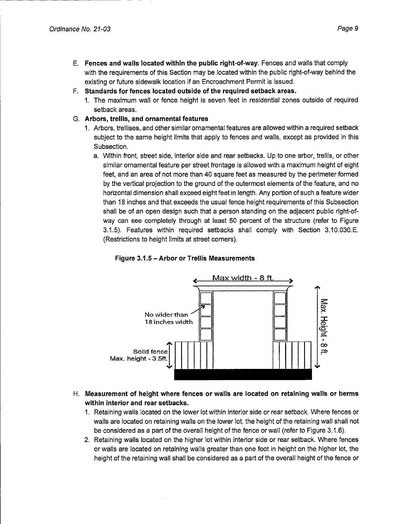- **E. Fences and walls located within the public right-of-way.** Fences and walls that comply with the requirements of this Section may be located within the public right-of-way behind the existing or future sidewalk location if an Encroachment Permit is issued.
- F. **Standards for fences located outside of the required setback areas.** 
	- 1. The maximum wall or fence height is seven feet in residential zones outside of required setback areas.
- G. **Arbors, trellis, and ornamental features** 
	- 1. Arbors, trellises, and other similar ornamental features are allowed within a required setback subject to the same height limits that apply to fences and walls, except as provided in this Subsection.
		- a. Within front, street side, interior side and rear setbacks. Up to one arbor, trellis, or other similar ornamental feature per street frontage is allowed with a maximum height of eight feet, and an area of not more than 40 square feet as measured by the perimeter formed by the vertical projection to the ground of the outermost elements of the feature, and no horizontal dimension shall exceed eight feet in length. Any portion of such a feature wider than 18 inches and that exceeds the usual fence height requirements of this Subsection shall be of an open design such that a person standing on the adjacent public right-ofway can see completely through at least 50 percent of the structure (refer to Figure 3.1.5). Features within required setbacks shall comply with Section 3.10.030.E. (Restrictions to height limits at street corners).





- **H. Measurement of height where fences or walls are located on retaining walls or berms within interior and rear setbacks.** 
	- 1. Retaining walls located on the lower lot within interior side or rear setback. Where fences or walls are located on retaining walls on the lower lot, the height of the retaining wall shall not be considered as a part of the overall height of the fence or wall (refer to Figure 3.1.6).
	- 2. Retaining walls located on the higher lot within interior side or rear setback. Where fences or walls are located on retaining walls greater than one foot in height on the higher lot, the height of the retaining wall shall be considered as a part of the overall height of the fence or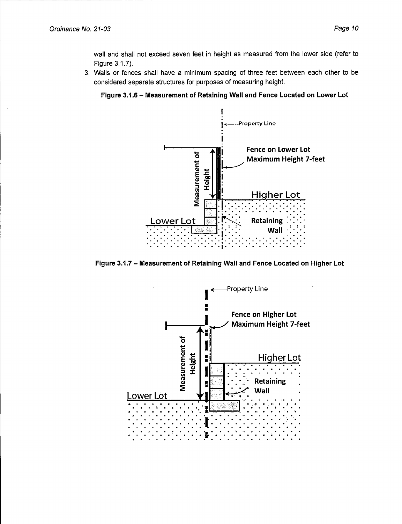wall and shall not exceed seven feet in height as measured from the lower side (refer to Figure 3.1. 7).

3. Walls or fences shall have a minimum spacing of three feet between each other to be considered separate structures for purposes of measuring height.





Figure 3.1.7 - Measurement of Retaining Wall and Fence Located on Higher Lot

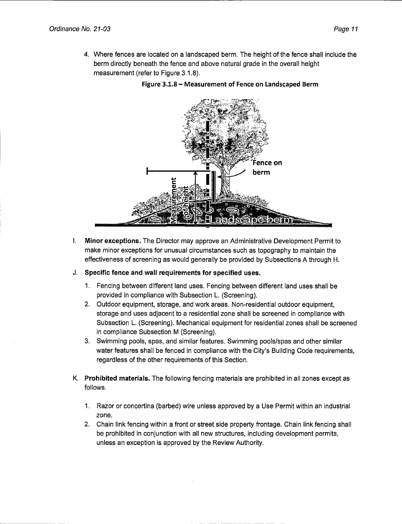4. Where fences are located on a landscaped berm. The height of the fence shall include the berm directly beneath the fence and above natural grade in the overall height measurement (refer to Figure 3.1.8).



**Figure 3.1.8 - Measurement of Fence on Landscaped Berm** 

- I. **Minor exceptions.** The Director may approve an Administrative Development Permit to make minor exceptions for unusual circumstances such as topography to maintain the effectiveness of screening as would generally be provided by Subsections A through H.
- J. **Specific fence and wall requirements for specified uses.** 
	- 1. Fencing between different land uses. Fencing between different land uses shall be provided in compliance with Subsection L. (Screening).
	- 2. Outdoor equipment, storage, and work areas. Non-residential outdoor equipment, storage and uses adjacent to a residential zone shall be screened in compliance with Subsection L. (Screening). Mechanical equipment for residential zones shall be screened in compliance Subsection M (Screening).
	- 3. Swimming pools, spas, and similar features. Swimming pools/spas and other similar water features shall be fenced in compliance with the City's Building Code requirements, regardless of the other requirements of this Section.
- K. **Prohibited materials.** The following fencing materials are prohibited in all zones except as follows.
	- 1. Razor or concertina (barbed) wire unless approved by a Use Permit within an industrial zone.
	- 2. Chain link fencing within a front or street side property frontage. Chain link fencing shall be prohibited in conjunction with all new structures, including development permits, unless an exception is approved by the Review Authority.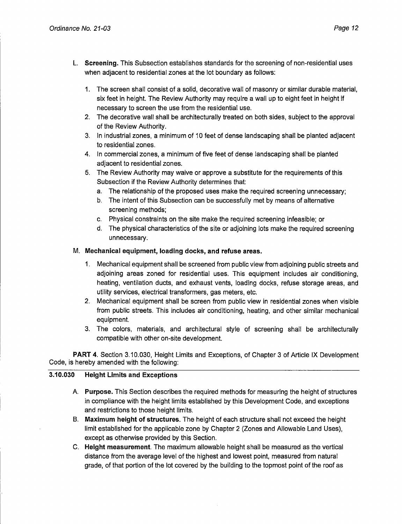- L. **Screening.** This Subsection establishes standards for the screening of non-residential uses when adjacent to residential zones at the lot boundary as follows:
	- 1. The screen shall consist of a solid, decorative wall of masonry or similar durable material, six feet in height. The Review Authority may require a wall up to eight feet in height if necessary to screen the use from the residential use.
	- 2. The decorative wall shall be architecturally treated on both sides, subject to the approval of the Review Authority.
	- 3. In industrial zones, a minimum of 10 feet of dense landscaping shall be planted adjacent to residential zones.
	- 4. In commercial zones, a minimum of five feet of dense landscaping shall be planted adjacent to residential zones.
	- 5. The Review Authority may waive or approve a substitute for the requirements of this Subsection if the Review Authority determines that:
		- a. The relationship of the proposed uses make the required screening unnecessary;
		- b. The intent of this Subsection can be successfully met by means of alternative screening methods;
		- c. Physical constraints on the site make the required screening infeasible; or
		- d. The physical characteristics of the site or adjoining lots make the required screening unnecessary.

# M. **Mechanical equipment, loading docks, and refuse areas.**

- 1. Mechanical equipment shall be screened from public view from adjoining public streets and adjoining areas zoned for residential uses. This equipment includes air conditioning, heating, ventilation ducts, and exhaust vents, loading docks, refuse storage areas, and utility services, electrical transformers, gas meters, etc.
- 2. Mechanical equipment shall be screen from public view in residential zones when visible from public streets. This includes air conditioning, heating, and other similar mechanical equipment.
- 3. The colors, materials, and architectural style of screening shall be architecturally compatible with other on-site development.

**PART 4.** Section 3.10.030, Height Limits and Exceptions, of Chapter 3 of Article IX Development Code, is hereby amended with the following:

# **3.10.030 Height Limits and Exceptions**

- A **Purpose.** This Section describes the required methods for measuring the height of structures in compliance with the height limits established by this Development Code, and exceptions and restrictions to those height limits.
- B. **Maximum height of structures.** The height of each structure shall not exceed the height limit established for the applicable zone by Chapter 2 (Zones and Allowable Land Uses), except as otherwise provided by this Section.
- C. **Height measurement.** The maximum allowable height shall be measured as the vertical distance from the average level of the highest and lowest point, measured from natural grade, of that portion of the lot covered by the building to the topmost point of the roof as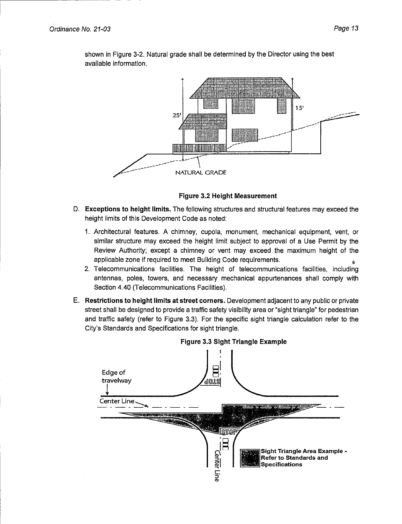

shown in Figure 3-2. Natural grade shall be determined by the Director using the best available information.

**Figure 3.2 Height Measurement** 

- D. **Exceptions to height limits.** The following structures and structural features may exceed the height limits of this Development Code as noted:
	- 1. Architectural features. A chimney, cupola, monument, mechanical equipment, vent, or similar structure may exceed the height limit subject to approval of a Use Permit by the Review Authority; except a chimney or vent may exceed the maximum height of the applicable zone if required to meet Building Code requirements.
	- 2. Telecommunications facilities. The height of telecommunications facilities, including antennas, poles, towers, and necessary mechanical appurtenances shall comply with Section 4.40 (Telecommunications Facilities).
- E. **Restrictions to height limits at street corners.** Development adjacent to any public or private street shall be designed to provide a traffic safety visibility area or "sight triangle" for pedestrian and traffic safety (refer to Figure 3.3). For the specific sight triangle calculation refer to the City's Standards and Specifications for sight triangle.



#### **Figure 3.3 Sight Triangle Example**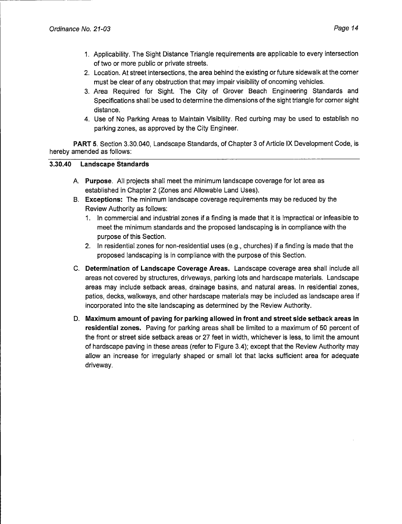- 1. Applicability. The Sight Distance Triangle requirements are applicable to every intersection of two or more public or private streets.
- 2. Location. At street intersections, the area behind the existing or future sidewalk at the corner must be clear of any obstruction that may impair visibility of oncoming vehicles.
- 3. Area Required for Sight. The City of Grover Beach Engineering Standards and Specifications shall be used to determine the dimensions of the sight triangle for corner sight distance.
- 4. Use of No Parking Areas to Maintain Visibility. Red curbing may be used to establish no parking zones, as approved by the City Engineer.

**PART 5.** Section 3.30.040, Landscape Standards, of Chapter 3 of Article IX Development Code, is hereby amended as follows:

# **3.30.40 Landscape Standards**

- A. **Purpose.** All projects shall meet the minimum landscape coverage for lot area as established in Chapter 2 (Zones and Allowable Land Uses).
- B. **Exceptions:** The minimum landscape coverage requirements may be reduced by the Review Authority as follows:
	- 1. In commercial and industrial zones if a finding is made that it is impractical or infeasible to meet the minimum standards and the proposed landscaping is in compliance with the purpose of this Section.
	- 2. In residential zones for non-residential uses (e.g., churches) if a finding is made that the proposed landscaping is in compliance with the purpose of this Section.
- C. **Determination of Landscape Coverage Areas.** Landscape coverage area shall include all areas not covered by structures, driveways, parking lots and hardscape materials. Landscape areas may include setback areas, drainage basins, and natural areas. In residential zones, patios, decks, walkways, and other hardscape materials may be included as landscape area if incorporated into the site landscaping as determined by the Review Authority.
- **D. Maximum amount of paving for parking allowed in front and street side setback areas in residential zones.** Paving for parking areas shall be limited to a maximum of 50 percent of the front or street side setback areas or 27 feet in width, whichever is less, to limit the amount of hardscape paving in these areas (refer to Figure 3.4); except that the Review Authority may allow an increase for irregularly shaped or small lot that lacks sufficient area for adequate driveway.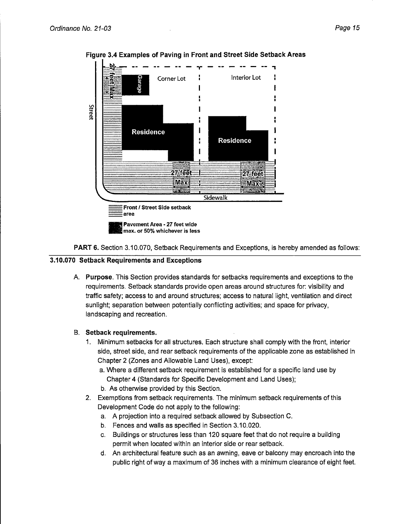

**Figure 3.4 Examples of Paving in Front and Street Side Setback Areas** 

**PART 6.** Section 3.10.070, Setback Requirements and Exceptions, is hereby amended as follows:

# **3.10.070 Setback Requirements and Exceptions**

A. **Purpose.** This Section provides standards for setbacks requirements and exceptions to the requirements. Setback standards provide open areas around structures for: visibility and traffic safety; access to and around structures; access to natural light, ventilation and direct sunlight; separation between potentially conflicting activities; and space for privacy, landscaping and recreation.

# B. **Setback requirements.**

- 1. Minimum setbacks for all structures. Each structure shall comply with the front, interior side, street side, and rear setback requirements of the applicable zone as established in Chapter 2 (Zones and Allowable Land Uses), except:
	- a. Where a different setback requirement is established for a specific land use by Chapter 4 (Standards for Specific Development and Land Uses);
	- b. As otherwise provided by this Section.
- 2. Exemptions from setback requirements. The minimum setback requirements of this Development Code do not apply to the following:
	- a. A projection into a required setback allowed by Subsection C.
	- b. Fences and walls as specified in Section 3.10.020.
	- c. Buildings or structures less than 120 square feet that do not require a building permit when located within an interior side or rear setback.
	- d. An architectural feature such as an awning, eave or balcony may encroach into the public right of way a maximum of 36 inches with a minimum clearance of eight feet.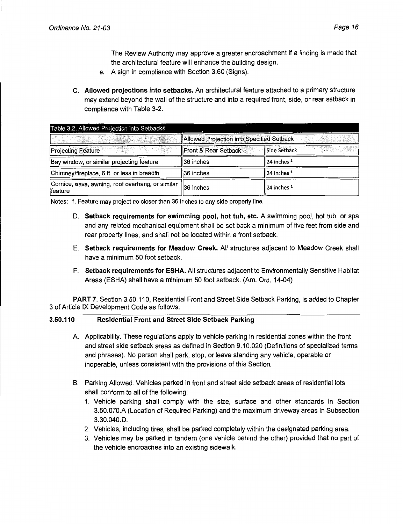The Review Authority may approve a greater encroachment if a finding is made that the architectural feature will enhance the building design.

- e. A sign in compliance with Section 3.60 (Signs).
- C. **Allowed projections into setbacks.** An architectural feature attached to a primary structure may extend beyond the wall of the structure and into a required front, side, or rear setback in compliance with Table 3-2.

| Table 3.2. Allowed Projection into Setbacks                 |                                           |                               |  |  |  |  |
|-------------------------------------------------------------|-------------------------------------------|-------------------------------|--|--|--|--|
|                                                             | Allowed Projection into Specified Setback |                               |  |  |  |  |
| Projecting Feature                                          | Front & Rear Setback                      | 不变概念。<br><b>ISide Setback</b> |  |  |  |  |
| Bay window, or similar projecting feature                   | il36 inches                               | ll24 inches <sup>1</sup>      |  |  |  |  |
| Chimney/fireplace, 6 ft. or less in breadth                 | 36 inches                                 | 1124 inches <sup>1</sup>      |  |  |  |  |
| Cornice, eave, awning, roof overhang, or similar<br>feature | <b>36</b> inches                          | 1124 inches <sup>1</sup>      |  |  |  |  |

Notes: 1. Feature may project no closer than 36 inches to any side property line.

- D. **Setback requirements for swimming pool, hot tub, etc.** A swimming pool, hot tub, or spa and any related mechanical equipment shall be set back a minimum of five feet from side and rear property lines, and shall not be located within a front setback.
- E. **Setback requirements for Meadow Creek.** All structures adjacent to Meadow Creek shall have a minimum 50 foot setback.
- **F. Setback requirements for ESHA.** All structures adjacent to Environmentally Sensitive Habitat Areas (ESHA) shall have a minimum 50 foot setback. (Am. Ord. 14-04)

**PART 7.** Section 3.50.110, Residential Front and Street Side Setback Parking, is added to Chapter 3 of Article IX Development Code as follows:

## **3.50.110 Residential Front and Street Side Setback Parking**

- A. Applicability. These regulations apply to vehicle parking in residential zones within the front and street side setback areas as defined in Section 9.10.020 (Definitions of specialized terms and phrases). No person shall park, stop, or leave standing any vehicle, operable or inoperable, unless consistent with the provisions of this Section.
- 8. Parking Allowed. Vehicles parked in front and street side setback areas of residential lots shall conform to all of the following:
	- 1. Vehicle parking shall comply with the size, surface and other standards in Section 3.50.070.A (Location of Required Parking) and the maximum driveway areas in Subsection 3.30.040.D.
	- 2. Vehicles, including tires, shall be parked completely within the designated parking area.
	- 3. Vehicles may be parked in tandem (one vehicle behind the other) provided that no part of the vehicle encroaches into an existing sidewalk.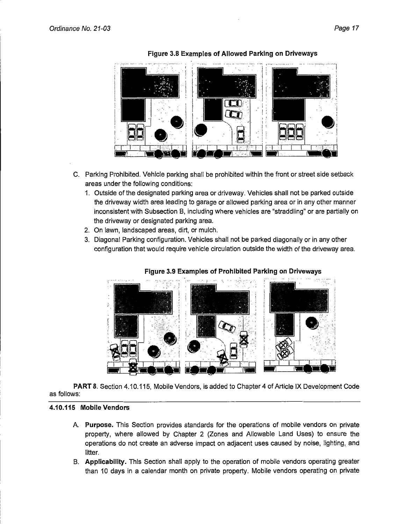

**Figure 3.8 Examples of Allowed Parking on Driveways** 

- C. Parking Prohibited. Vehicle parking shall be prohibited within the front or street side setback areas under the following conditions:
	- 1. Outside of the designated parking area or driveway. Vehicles shall not be parked outside the driveway width area leading to garage or allowed parking area or in any other manner inconsistent with Subsection B, including where vehicles are "straddling" or are partially on the driveway or designated parking area.
	- 2. On lawn, landscaped areas, dirt, or mulch.
	- 3. Diagonal Parking configuration. Vehicles shall not be parked diagonally or in any other configuration that would require vehicle circulation outside the width of the driveway area.



# **Figure 3.9 Examples of Prohibited Parking on Driveways**

**PART 8.** Section 4.10.115, Mobile Vendors, is added to Chapter 4 of Article IX Development Code as follows:

## **4.10.115 Mobile Vendors**

- A. **Purpose.** This Section provides standards for the operations of mobile vendors on private property, where allowed by Chapter 2 (Zones and Allowable Land Uses) to ensure the operations do not create an adverse impact on adjacent uses caused by noise, lighting, and litter.
- B. **Applicability.** This Section shall apply to the operation of mobile vendors operating greater than 10 days in a calendar month on private property. Mobile vendors operating on private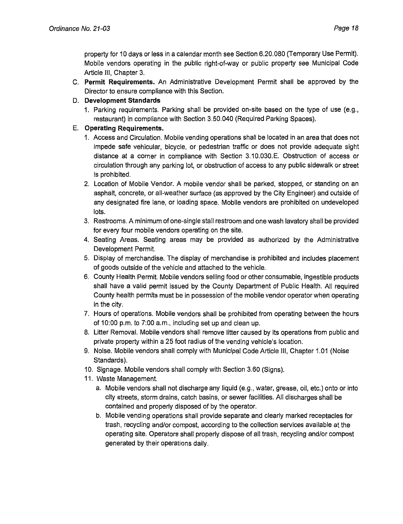property for 10 days or less in a calendar month see Section 6.20.080 (Temporary Use Permit). Mobile vendors operating in the public right-of-way or public property see Municipal Code Article Ill, Chapter 3.

- C. **Permit Requirements.** An Administrative Development Permit shall be approved by the Director to ensure compliance with this Section.
- D. **Development Standards** 
	- 1. Parking requirements. Parking shall be provided on-site based on the type of use (e.g., restaurant) in compliance with Section 3.50.040 (Required Parking Spaces).
- E. **Operating Requirements.** 
	- 1. Access and Circulation. Mobile vending operations shall be located in an area that does not impede safe vehicular, bicycle, or pedestrian traffic or does not provide adequate sight distance at a corner in compliance with Section 3.10.030. E. Obstruction of access or circulation through any parking lot, or obstruction of access to any public sidewalk or street is prohibited.
	- 2. Location of Mobile Vendor. A mobile vendor shall be parked, stopped, or standing on an asphalt, concrete, or all-weather surface (as approved by the City Engineer) and outside of any designated fire lane, or loading space. Mobile vendors are prohibited on undeveloped lots.
	- 3. Restrooms. A minimum of one-single stall restroom and one wash lavatory shall be provided for every four mobile vendors operating on the site.
	- 4. Seating Areas. Seating areas may be provided as authorized by the Administrative Development Permit.
	- 5. Display of merchandise. The display of merchandise is prohibited and includes placement of goods outside of the vehicle and attached to the vehicle.
	- 6. County Health Permit. Mobile vendors selling food or other consumable, ingestible products shall have a valid permit issued by the County Department of Public Health. All required County health permits must be in possession of the mobile vendor operator when operating in the city.
	- 7. Hours of operations. Mobile vendors shall be prohibited from operating between the hours of 10:00 p.m. to 7:00 a.m., including set up and clean up.
	- 8. Litter Removal. Mobile vendors shall remove litter caused by its operations from public and private property within a 25 foot radius of the vending vehicle's location.
	- 9. Noise. Mobile vendors shall comply with Municipal Code Article Ill, Chapter 1.01 (Noise Standards).
	- 10. Signage. Mobile vendors shall comply with Section 3.60 (Signs).
	- 11. Waste Management.
		- a. Mobile vendors shall not discharge any liquid (e.g., water, grease, oil, etc.) onto or into city streets, storm drains, catch basins, or sewer facilities. All discharges shall be contained and properly disposed of by the operator.
		- b. Mobile vending operations shall provide separate and clearly marked receptacles for trash, recycling and/or compost, according to the collection services available at the operating site. Operators shall properly dispose of all trash, recycling and/or compost generated by their operations daily.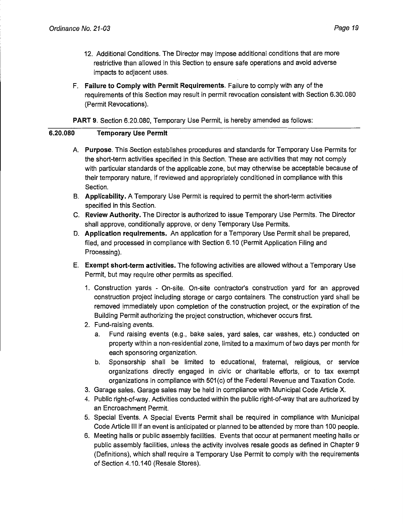- 12. Additional Conditions. The Director may impose additional conditions that are more restrictive than allowed in this Section to ensure safe operations and avoid adverse impacts to adjacent uses.
- F. **Failure to Comply with Permit Requirements.** Failure to comply with any of the requirements of this Section may result in permit revocation consistent with Section 6.30.080 (Permit Revocations).

PART 9. Section 6.20.080, Temporary Use Permit, is hereby amended as follows:

#### **6.20.080 Temporary Use Permit**

- A **Purpose.** This Section establishes procedures and standards for Temporary Use Permits for the short-term activities specified in this Section. These are activities that may not comply with particular standards of the applicable zone, but may otherwise be acceptable because of their temporary nature, if reviewed and appropriately conditioned in compliance with this Section.
- B. **Applicability.** A Temporary Use Permit is required to permit the short-term activities specified in this Section.
- C. **Review Authority.** The Director is authorized to issue Temporary Use Permits. The Director shall approve, conditionally approve, or deny Temporary Use Permits.
- **D. Application requirements.** An application for a Temporary Use Permit shall be prepared, filed, and processed in compliance with Section 6.10 (Permit Application Filing and Processing).
- **E. Exempt short-term activities.** The following activities are allowed without a Temporary Use Permit, but may require other permits as specified.
	- 1. Construction yards On-site. On-site contractor's construction yard for an approved construction project including storage or cargo containers. The construction yard shall be removed immediately upon completion of the construction project, or the expiration of the Building Permit authorizing the project construction, whichever occurs first.
	- 2. Fund-raising events.
		- a. Fund raising events (e.g., bake sales, yard sales, car washes, etc.) conducted on property within a non-residential zone, limited to a maximum of two days per month for each sponsoring organization.
		- b. Sponsorship shall be limited to educational, fraternal, religious, or service organizations directly engaged in civic or charitable efforts, or to tax exempt organizations in compliance with 501 (c) of the Federal Revenue and Taxation Code.
	- 3. Garage sales. Garage sales may be held in compliance with Municipal Code Article X.
	- 4. Public right-of-way. Activities conducted within the public right-of-way that are authorized by an Encroachment Permit.
	- 5. Special Events. A Special Events Permit shall be required in compliance with Municipal Code Article Ill if an event is anticipated or planned to be attended by more than 100 people.
	- 6. Meeting halls or public assembly facilities. Events that occur at permanent meeting halls or public assembly facilities, unless the activity involves resale goods as defined in Chapter 9 (Definitions), which shall require a Temporary Use Permit to comply with the requirements of Section 4.10.140 (Resale Stores).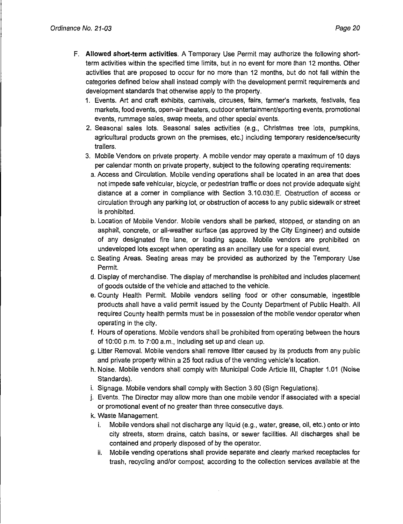- F. **Allowed short-term activities.** A Temporary Use Permit may authorize the following shortterm activities within the specified time limits, but in no event for more than 12 months. Other activities that are proposed to occur for no more than 12 months, but do not fall within the categories defined below shall instead comply with the development permit requirements and development standards that otherwise apply to the property.
	- 1. Events. Art and craft exhibits, carnivals, circuses, fairs, farmer's markets, festivals, flea markets, food events, open-air theaters, outdoor entertainment/sporting events, promotional events, rummage sales, swap meets, and other special events.
	- 2. Seasonal sales lots. Seasonal sales activities (e.g., Christmas tree lots, pumpkins, agricultural products grown on the premises, etc.) including temporary residence/security trailers.
	- 3. Mobile Vendors on private property. A mobile vendor may operate a maximum of 10 days per calendar month on private property, subject to the following operating requirements:
		- a. Access and Circulation. Mobile vending operations shall be located in an area that does not impede safe vehicular, bicycle, or pedestrian traffic or does not provide adequate sight distance at a corner in compliance with Section 3.10.030.E. Obstruction of access or circulation through any parking lot, or obstruction of access to any public sidewalk or street is prohibited.
		- b. Location of Mobile Vendor. Mobile vendors shall be parked, stopped, or standing on an asphalt, concrete, or all-weather surface (as approved by the City Engineer) and outside of any designated fire lane, or loading space. Mobile vendors are prohibited on undeveloped lots except when operating as an ancillary use for a special event.
		- c. Seating Areas. Seating areas may be provided as authorized by the Temporary Use Permit.
		- d. Display of merchandise. The display of merchandise is prohibited and includes placement of goods outside of the vehicle and attached to the vehicle.
		- e. County Health Permit. Mobile vendors selling food or other consumable, ingestible products shall have a valid permit issued by the County Department of Public Health. All required County health permits must be in possession of the mobile vendor operator when operating in the city.
		- f. Hours of operations. Mobile vendors shall be prohibited from operating between the hours of 10:00 p.m. to 7:00 a.m., including set up and clean up.
		- g. Litter Removal. Mobile vendors shall remove litter caused by its products from any public and private property within a 25 foot radius of the vending vehicle's location.
		- h. Noise. Mobile vendors shall comply with Municipal Code Article Ill, Chapter 1.01 (Noise Standards).
		- i. Signage. Mobile vendors shall comply with Section 3.60 (Sign Regulations).
		- j. Events. The Director may allow more than one mobile vendor if associated with a special or promotional event of no greater than three consecutive days.
		- k. Waste Management.
			- i. Mobile vendors shall not discharge any liquid (e.g., water, grease, oil, etc.) onto or into city streets, storm drains, catch basins, or sewer facilities. All discharges shall be contained and properly disposed of by the operator.
			- ii. Mobile vending operations shall provide separate and clearly marked receptacles for trash, recycling and/or compost, according to the collection services available at the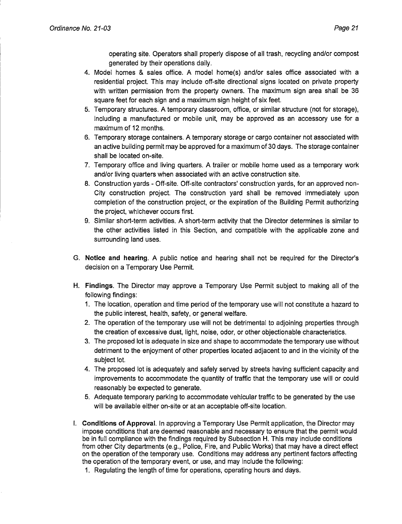operating site. Operators shall properly dispose of all trash, recycling and/or compost generated by their operations daily.

- 4. Model homes & sales office. A model home(s) and/or sales office associated with a residential project. This may include off-site directional signs located on private property with written permission from the property owners. The maximum sign area shall be 36 square feet for each sign and a maximum sign height of six feet.
- 5. Temporary structures. A temporary classroom, office, or similar structure (not for storage), including a manufactured or mobile unit, may be approved as an accessory use for a maximum of 12 months.
- 6. Temporary storage containers. A temporary storage or cargo container not associated with an active building permit may be approved for a maximum of 30 days. The storage container shall be located on-site.
- 7. Temporary office and living quarters. A trailer or mobile home used as a temporary work and/or living quarters when associated with an active construction site.
- 8. Construction yards Off-site. Off-site contractors' construction yards, for an approved non-City construction project. The construction yard shall be removed immediately upon completion of the construction project, or the expiration of the Building Permit authorizing the project, whichever occurs first.
- 9. Similar short-term activities. A short-term activity that the Director determines is similar to the other activities listed in this Section, and compatible with the applicable zone and surrounding land uses.
- G. **Notice and hearing.** A public notice and hearing shall not be required for the Director's decision on a Temporary Use Permit.
- **H. Findings.** The Director may approve a Temporary Use Permit subject to making all of the following findings:
	- 1. The location, operation and time period of the temporary use will not constitute a hazard to the public interest, health, safety, or general welfare.
	- 2. The operation of the temporary use will not be detrimental to adjoining properties through the creation of excessive dust, light, noise, odor, or other objectionable characteristics.
	- 3. The proposed lot is adequate in size and shape to accommodate the temporary use without detriment to the enjoyment of other properties located adjacent to and in the vicinity of the subject lot.
	- 4. The proposed lot is adequately and safely served by streets having sufficient capacity and improvements to accommodate the quantity of traffic that the temporary use will or could reasonably be expected to generate.
	- 5. Adequate temporary parking to accommodate vehicular traffic to be generated by the use will be available either on-site or at an acceptable off-site location.
- I. **Conditions of Approval.** In approving a Temporary Use Permit application, the Director may impose conditions that are deemed reasonable and necessary to ensure that the permit would be in full compliance with the findings required by Subsection H. This may include conditions from other City departments (e.g., Police, Fire, and Public Works) that may have a direct effect on the operation of the temporary use. Conditions may address any pertinent factors affecting the operation of the temporary event, or use, and may include the following:
	- 1. Regulating the length of time for operations, operating hours and days.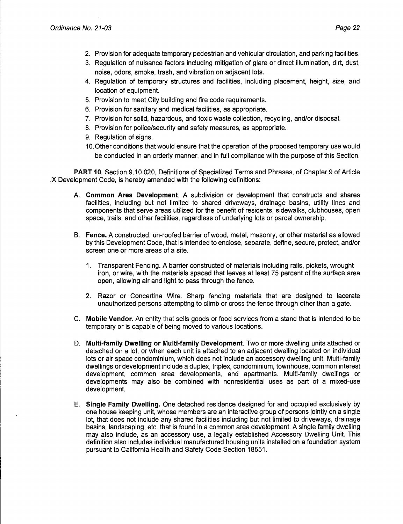- 3. Regulation of nuisance factors including mitigation of glare or direct illumination, dirt, dust, noise, odors, smoke, trash, and vibration on adjacent lots.
- 4. Regulation of temporary structures and facilities, including placement, height, size, and location of equipment.
- 5. Provision to meet City building and fire code requirements.
- 6. Provision for sanitary and medical facilities, as appropriate.
- 7. Provision for solid, hazardous, and toxic waste collection, recycling, and/or disposal.
- 8. Provision for police/security and safety measures, as appropriate.
- 9. Regulation of signs.
- 10. Other conditions that would ensure that the operation of the proposed temporary use would be conducted in an orderly manner, and in full compliance with the purpose of this Section.

**PART 10.** Section 9.10.020, Definitions of Specialized Terms and Phrases, of Chapter 9 of Article IX Development Code, is hereby amended with the following definitions:

- A. **Common Area Development.** A subdivision or development that constructs and shares facilities, including but not limited to shared driveways, drainage basins, utility lines and components that serve areas utilized for the benefit of residents, sidewalks, clubhouses, open space, trails, and other facilities, regardless of underlying lots or parcel ownership.
- B. **Fence.** A constructed, un-roofed barrier of wood, metal, masonry, or other material as allowed by this Development Code, that is intended to enclose, separate, define, secure, protect, and/or screen one or more areas of a site.
	- 1. Transparent Fencing. A barrier constructed of materials including rails, pickets, wrought iron, or wire, with the materials spaced that leaves at least 75 percent of the surface area open, allowing air and light to pass through the fence.
	- 2. Razor or Concertina Wire. Sharp fencing materials that are designed to lacerate unauthorized persons attempting to climb or cross the fence through other than a gate.
- C. **Mobile Vendor.** An entity that sells goods or food services from a stand that is intended to be temporary or is capable of being moved to various locations.
- D. **Multi-family Dwelling or Multi-family Development.** Two or more dwelling units attached or detached on a lot, or when each unit is attached to an adjacent dwelling located on individual lots or air space condominium, which does not include an accessory dwelling unit. Multi-family dwellings or development include a duplex, triplex, condominium, townhouse, common interest development, common area developments, and apartments. Multi-family dwellings or developments may also be combined with nonresidential uses as part of a mixed-use development.
- E. **Single Family Dwelling.** One detached residence designed for and occupied exclusively by one house keeping unit, whose members are an interactive group of persons jointly on a single lot, that does not include any shared facilities including but not limited to driveways, drainage basins, landscaping, etc. that is found in a common area development. A single family dwelling may also include, as an accessory use, a legally established Accessory Dwelling Unit. This definition also includes individual manufactured housing units installed on a foundation system pursuant to California Health and Safety Code Section 18551.